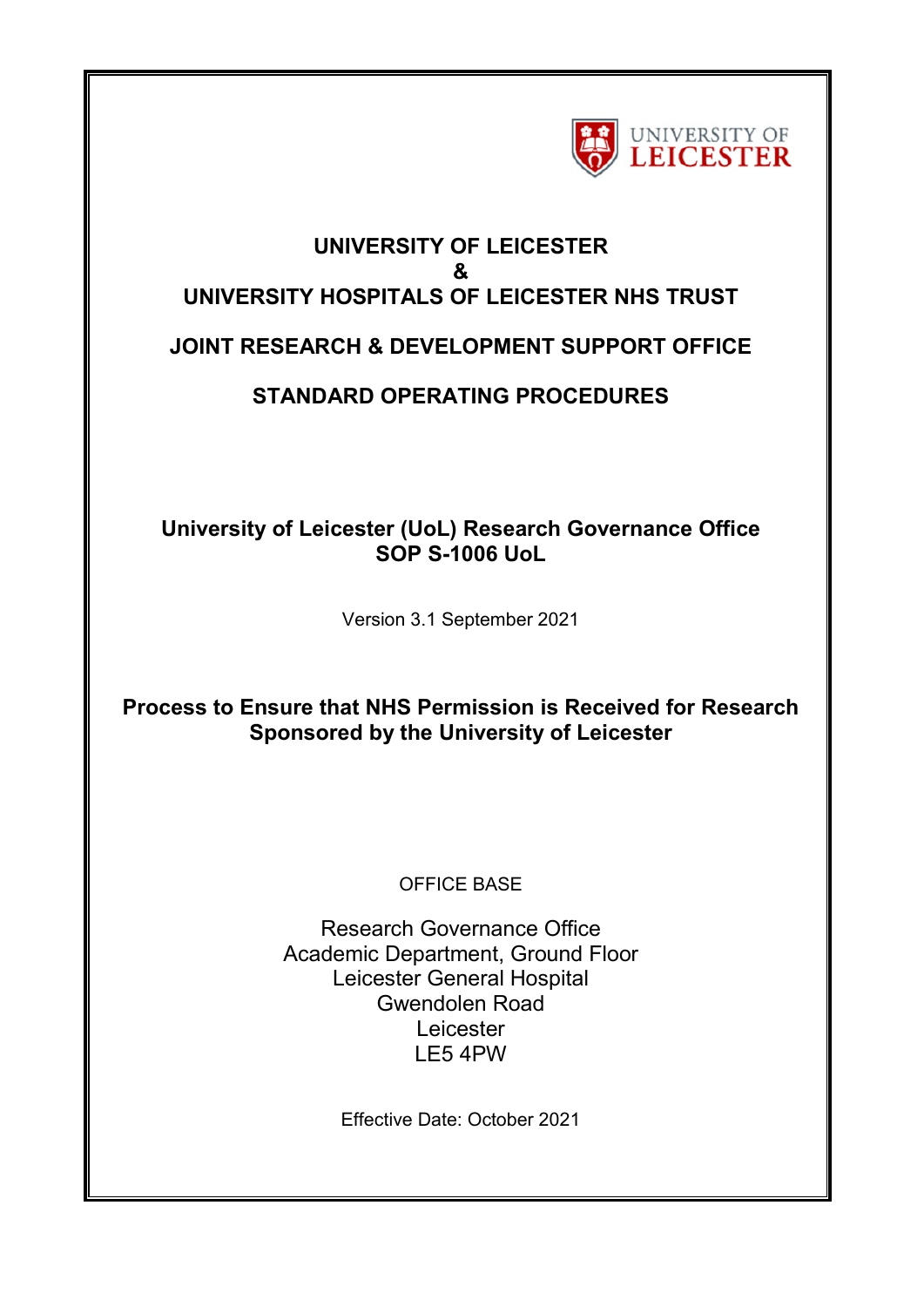

# **UNIVERSITY OF LEICESTER & UNIVERSITY HOSPITALS OF LEICESTER NHS TRUST JOINT RESEARCH & DEVELOPMENT SUPPORT OFFICE**

# **STANDARD OPERATING PROCEDURES**

# **University of Leicester (UoL) Research Governance Office SOP S-1006 UoL**

Version 3.1 September 2021

# **Process to Ensure that NHS Permission is Received for Research Sponsored by the University of Leicester**

# OFFICE BASE

Research Governance Office Academic Department, Ground Floor Leicester General Hospital Gwendolen Road Leicester LE5 4PW

Effective Date: October 2021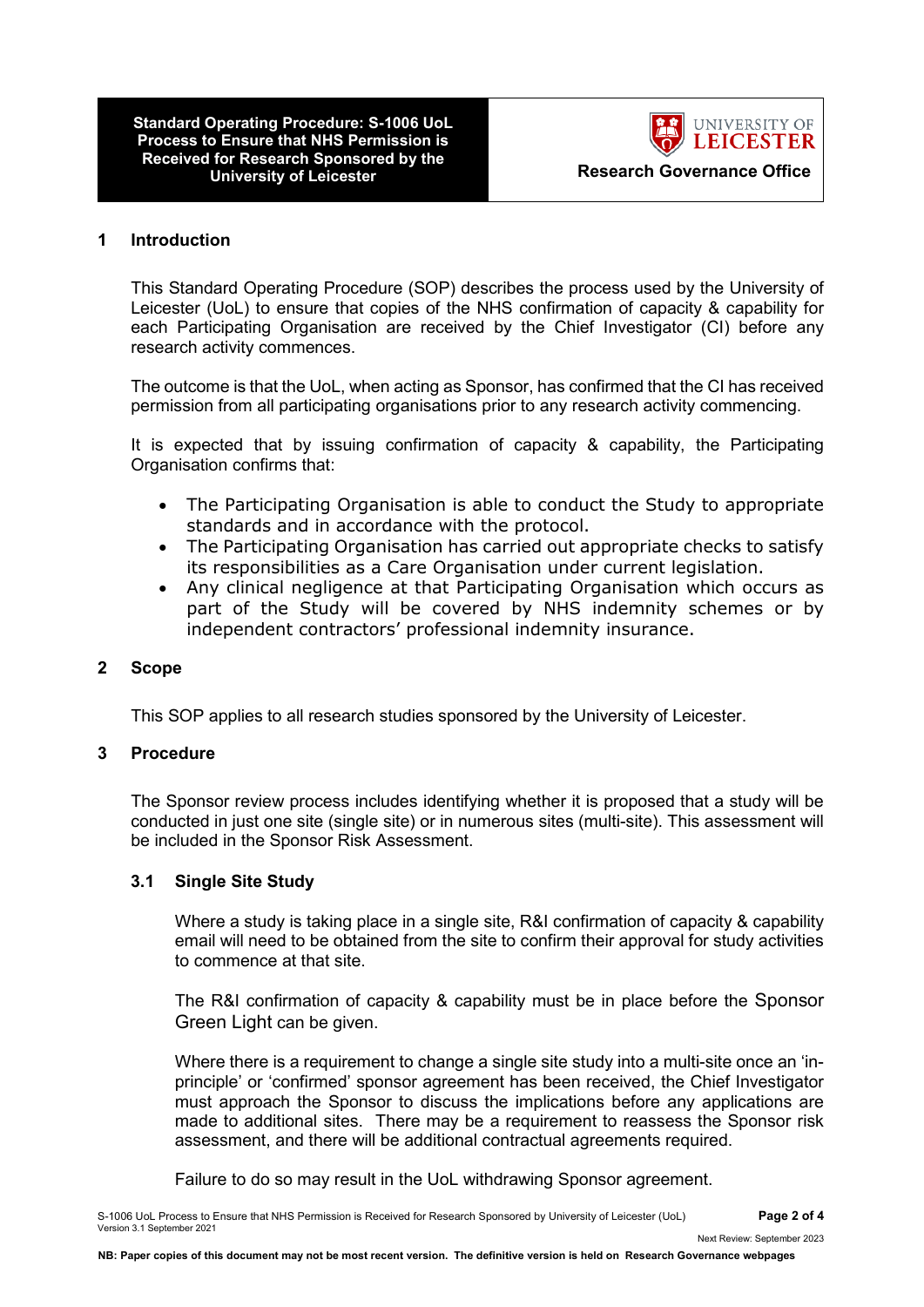**Standard Operating Procedure: S-1006 UoL Process to Ensure that NHS Permission is Received for Research Sponsored by the University of Leicester**



 **Research Governance Office**

#### **1 Introduction**

This Standard Operating Procedure (SOP) describes the process used by the University of Leicester (UoL) to ensure that copies of the NHS confirmation of capacity & capability for each Participating Organisation are received by the Chief Investigator (CI) before any research activity commences.

The outcome is that the UoL, when acting as Sponsor, has confirmed that the CI has received permission from all participating organisations prior to any research activity commencing.

It is expected that by issuing confirmation of capacity & capability, the Participating Organisation confirms that:

- The Participating Organisation is able to conduct the Study to appropriate standards and in accordance with the protocol.
- The Participating Organisation has carried out appropriate checks to satisfy its responsibilities as a Care Organisation under current legislation.
- Any clinical negligence at that Participating Organisation which occurs as part of the Study will be covered by NHS indemnity schemes or by independent contractors' professional indemnity insurance.

#### **2 Scope**

This SOP applies to all research studies sponsored by the University of Leicester.

### **3 Procedure**

The Sponsor review process includes identifying whether it is proposed that a study will be conducted in just one site (single site) or in numerous sites (multi-site). This assessment will be included in the Sponsor Risk Assessment.

#### **3.1 Single Site Study**

Where a study is taking place in a single site, R&I confirmation of capacity & capability email will need to be obtained from the site to confirm their approval for study activities to commence at that site.

The R&I confirmation of capacity & capability must be in place before the Sponsor Green Light can be given.

Where there is a requirement to change a single site study into a multi-site once an 'inprinciple' or 'confirmed' sponsor agreement has been received, the Chief Investigator must approach the Sponsor to discuss the implications before any applications are made to additional sites. There may be a requirement to reassess the Sponsor risk assessment, and there will be additional contractual agreements required.

Failure to do so may result in the UoL withdrawing Sponsor agreement.

Next Review: September 2023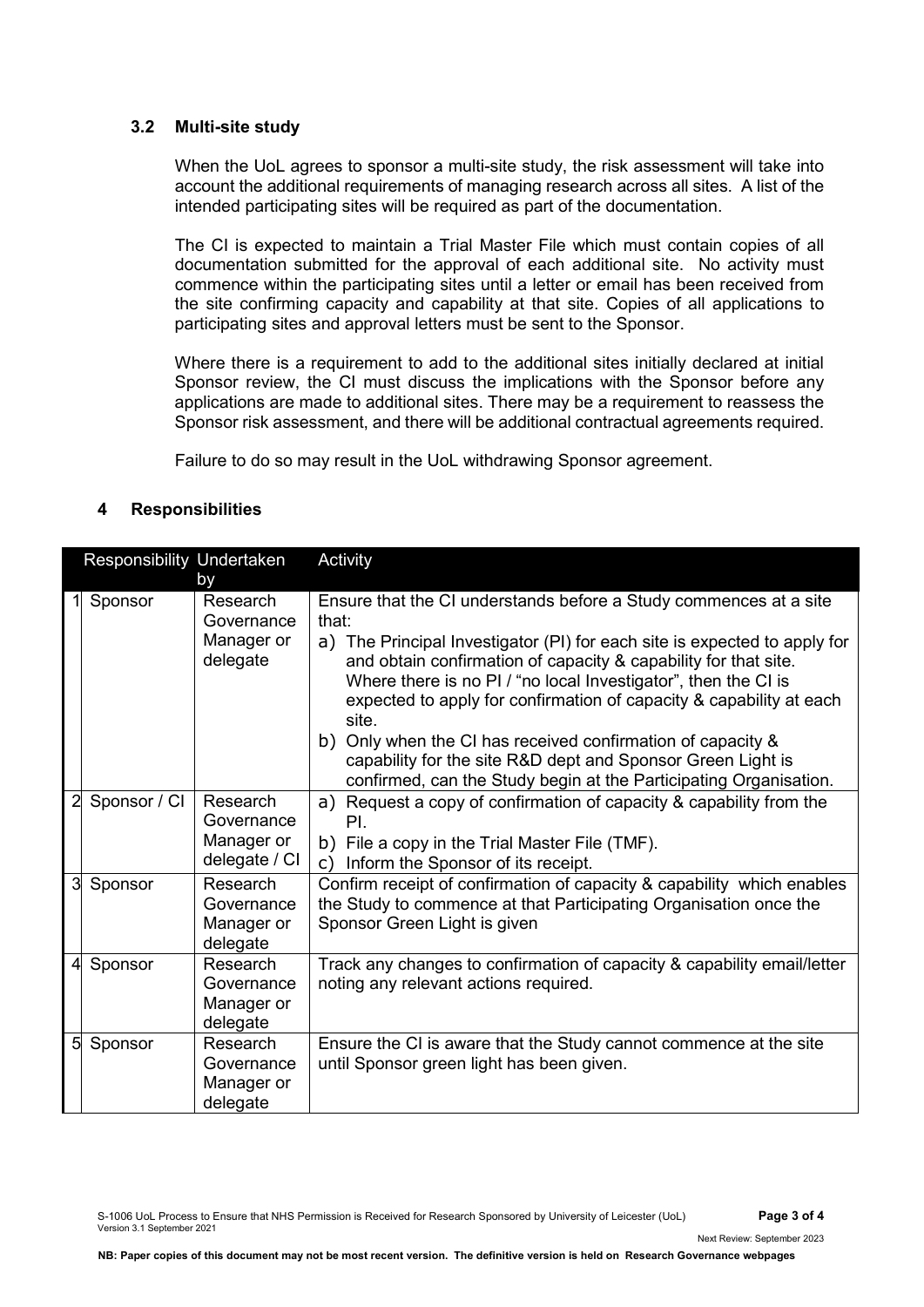#### **3.2 Multi-site study**

When the UoL agrees to sponsor a multi-site study, the risk assessment will take into account the additional requirements of managing research across all sites. A list of the intended participating sites will be required as part of the documentation.

The CI is expected to maintain a Trial Master File which must contain copies of all documentation submitted for the approval of each additional site. No activity must commence within the participating sites until a letter or email has been received from the site confirming capacity and capability at that site. Copies of all applications to participating sites and approval letters must be sent to the Sponsor.

Where there is a requirement to add to the additional sites initially declared at initial Sponsor review, the CI must discuss the implications with the Sponsor before any applications are made to additional sites. There may be a requirement to reassess the Sponsor risk assessment, and there will be additional contractual agreements required.

Failure to do so may result in the UoL withdrawing Sponsor agreement.

## **4 Responsibilities**

| Responsibility Undertaken |              |                                                        | Activity                                                                                                                                                                                                                                                                                                                                                                                                                                                                                                                                                                           |
|---------------------------|--------------|--------------------------------------------------------|------------------------------------------------------------------------------------------------------------------------------------------------------------------------------------------------------------------------------------------------------------------------------------------------------------------------------------------------------------------------------------------------------------------------------------------------------------------------------------------------------------------------------------------------------------------------------------|
|                           | Sponsor      | by<br>Research<br>Governance<br>Manager or<br>delegate | Ensure that the CI understands before a Study commences at a site<br>that:<br>a) The Principal Investigator (PI) for each site is expected to apply for<br>and obtain confirmation of capacity & capability for that site.<br>Where there is no PI / "no local Investigator", then the CI is<br>expected to apply for confirmation of capacity & capability at each<br>site.<br>Only when the CI has received confirmation of capacity &<br>b)<br>capability for the site R&D dept and Sponsor Green Light is<br>confirmed, can the Study begin at the Participating Organisation. |
| $\overline{2}$            | Sponsor / CI | Research<br>Governance<br>Manager or<br>delegate / CI  | a) Request a copy of confirmation of capacity & capability from the<br>PI.<br>b) File a copy in the Trial Master File (TMF).<br>Inform the Sponsor of its receipt.<br>C)                                                                                                                                                                                                                                                                                                                                                                                                           |
| 3                         | Sponsor      | Research<br>Governance<br>Manager or<br>delegate       | Confirm receipt of confirmation of capacity & capability which enables<br>the Study to commence at that Participating Organisation once the<br>Sponsor Green Light is given                                                                                                                                                                                                                                                                                                                                                                                                        |
| 4                         | Sponsor      | Research<br>Governance<br>Manager or<br>delegate       | Track any changes to confirmation of capacity & capability email/letter<br>noting any relevant actions required.                                                                                                                                                                                                                                                                                                                                                                                                                                                                   |
| $5\overline{5}$           | Sponsor      | Research<br>Governance<br>Manager or<br>delegate       | Ensure the CI is aware that the Study cannot commence at the site<br>until Sponsor green light has been given.                                                                                                                                                                                                                                                                                                                                                                                                                                                                     |